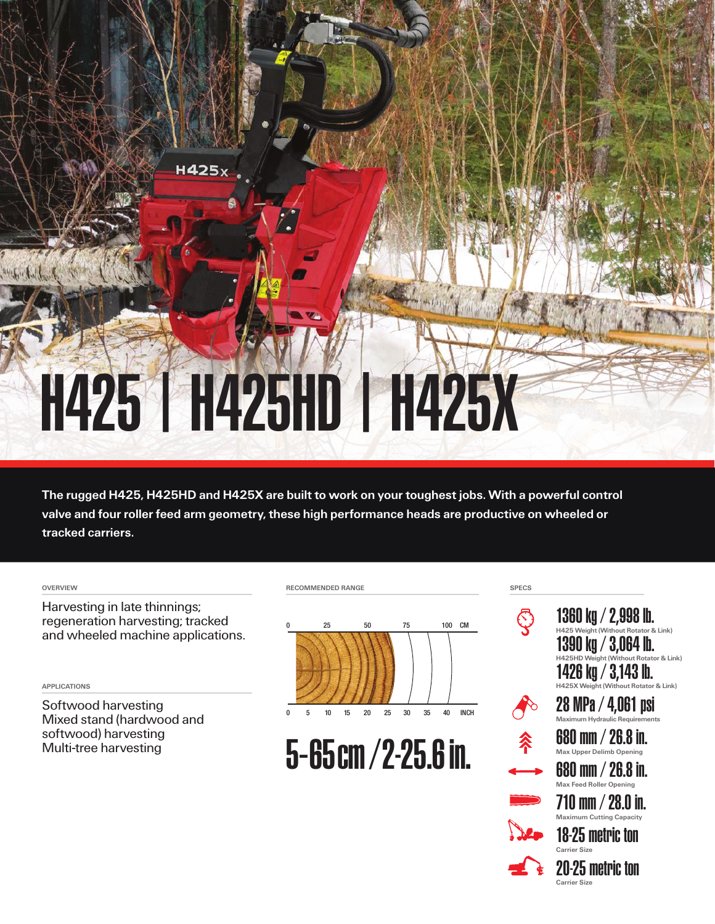## H425 | H425HD | H425X

H425<sub>x</sub>

The rugged H425, H425HD and H425X are built to work on your toughest jobs. With a powerful control valve and four roller feed arm geometry, these high performance heads are productive on wheeled or tracked carriers.

Harvesting in late thinnings; regeneration harvesting; tracked and wheeled machine applications.

APPLICATIONS

Softwood harvesting Mixed stand (hardwood and softwood) harvesting Multi-tree harvesting





5-65cm/2-25.6in.